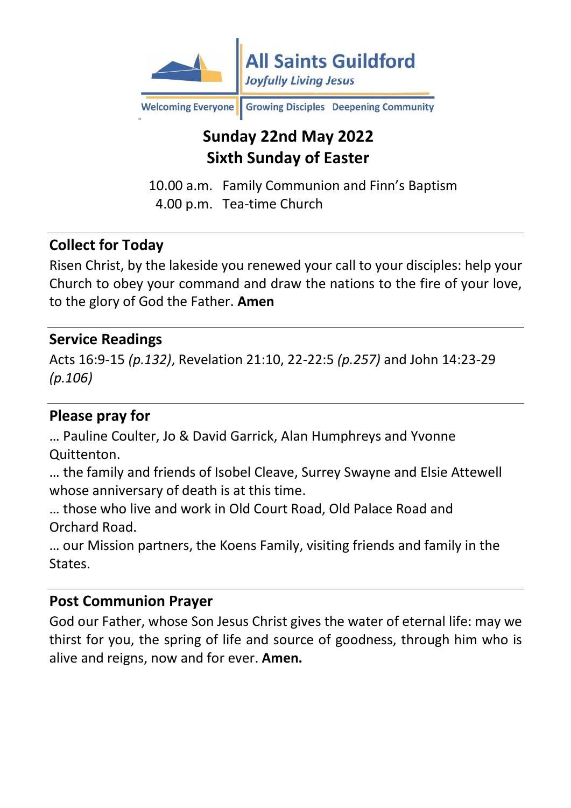

Welcoming Everyone Growing Disciples Deepening Community

# **Sunday 22nd May 2022 Sixth Sunday of Easter**

10.00 a.m. Family Communion and Finn's Baptism 4.00 p.m. Tea-time Church

### **Collect for Today**

Risen Christ, by the lakeside you renewed your call to your disciples: help your Church to obey your command and draw the nations to the fire of your love, to the glory of God the Father. **Amen**

#### **Service Readings**

Acts 16:9-15 *(p.132)*, Revelation 21:10, 22-22:5 *(p.257)* and John 14:23-29 *(p.106)*

### **Please pray for**

… Pauline Coulter, Jo & David Garrick, Alan Humphreys and Yvonne Quittenton.

… the family and friends of Isobel Cleave, Surrey Swayne and Elsie Attewell whose anniversary of death is at this time.

… those who live and work in Old Court Road, Old Palace Road and Orchard Road.

… our Mission partners, the Koens Family, visiting friends and family in the States.

#### **Post Communion Prayer**

God our Father, whose Son Jesus Christ gives the water of eternal life: may we thirst for you, the spring of life and source of goodness, through him who is alive and reigns, now and for ever. **Amen.**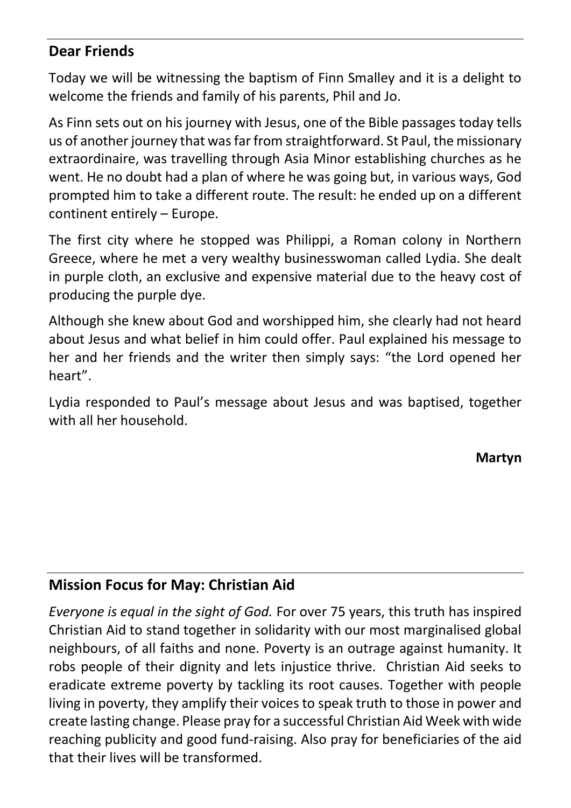### **Dear Friends**

Today we will be witnessing the baptism of Finn Smalley and it is a delight to welcome the friends and family of his parents, Phil and Jo.

As Finn sets out on his journey with Jesus, one of the Bible passages today tells us of another journey that was far from straightforward. St Paul, the missionary extraordinaire, was travelling through Asia Minor establishing churches as he went. He no doubt had a plan of where he was going but, in various ways, God prompted him to take a different route. The result: he ended up on a different continent entirely – Europe.

The first city where he stopped was Philippi, a Roman colony in Northern Greece, where he met a very wealthy businesswoman called Lydia. She dealt in purple cloth, an exclusive and expensive material due to the heavy cost of producing the purple dye.

Although she knew about God and worshipped him, she clearly had not heard about Jesus and what belief in him could offer. Paul explained his message to her and her friends and the writer then simply says: "the Lord opened her heart".

Lydia responded to Paul's message about Jesus and was baptised, together with all her household.

**Martyn**

## **Mission Focus for May: Christian Aid**

*Everyone is equal in the sight of God.* For over 75 years, this truth has inspired Christian Aid to stand together in solidarity with our most marginalised global neighbours, of all faiths and none. Poverty is an outrage against humanity. It robs people of their dignity and lets injustice thrive. Christian Aid seeks to eradicate extreme poverty by tackling its root causes. Together with people living in poverty, they amplify their voices to speak truth to those in power and create lasting change. Please pray for a successful Christian Aid Week with wide reaching publicity and good fund-raising. Also pray for beneficiaries of the aid that their lives will be transformed.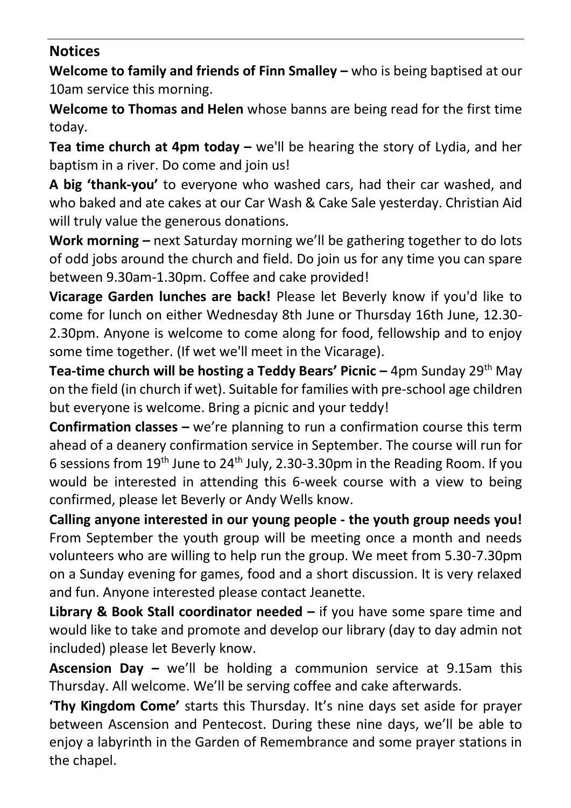### **Notices**

**Welcome to family and friends of Finn Smalley –** who is being baptised at our 10am service this morning.

**Welcome to Thomas and Helen** whose banns are being read for the first time today.

**Tea time church at 4pm today –** we'll be hearing the story of Lydia, and her baptism in a river. Do come and join us!

**A big 'thank-you'** to everyone who washed cars, had their car washed, and who baked and ate cakes at our Car Wash & Cake Sale yesterday. Christian Aid will truly value the generous donations.

**Work morning –** next Saturday morning we'll be gathering together to do lots of odd jobs around the church and field. Do join us for any time you can spare between 9.30am-1.30pm. Coffee and cake provided!

**Vicarage Garden lunches are back!** Please let Beverly know if you'd like to come for lunch on either Wednesday 8th June or Thursday 16th June, 12.30- 2.30pm. Anyone is welcome to come along for food, fellowship and to enjoy some time together. (If wet we'll meet in the Vicarage).

**Tea-time church will be hosting a Teddy Bears' Picnic –** 4pm Sunday 29th May on the field (in church if wet). Suitable for families with pre-school age children but everyone is welcome. Bring a picnic and your teddy!

**Confirmation classes –** we're planning to run a confirmation course this term ahead of a deanery confirmation service in September. The course will run for 6 sessions from 19th June to 24th July, 2.30-3.30pm in the Reading Room. If you would be interested in attending this 6-week course with a view to being confirmed, please let Beverly or Andy Wells know.

**Calling anyone interested in our young people - the youth group needs you!** From September the youth group will be meeting once a month and needs volunteers who are willing to help run the group. We meet from 5.30-7.30pm on a Sunday evening for games, food and a short discussion. It is very relaxed and fun. Anyone interested please contact Jeanette.

**Library & Book Stall coordinator needed –** if you have some spare time and would like to take and promote and develop our library (day to day admin not included) please let Beverly know.

**Ascension Day –** we'll be holding a communion service at 9.15am this Thursday. All welcome. We'll be serving coffee and cake afterwards.

**'Thy Kingdom Come'** starts this Thursday. It's nine days set aside for prayer between Ascension and Pentecost. During these nine days, we'll be able to enjoy a labyrinth in the Garden of Remembrance and some prayer stations in the chapel.